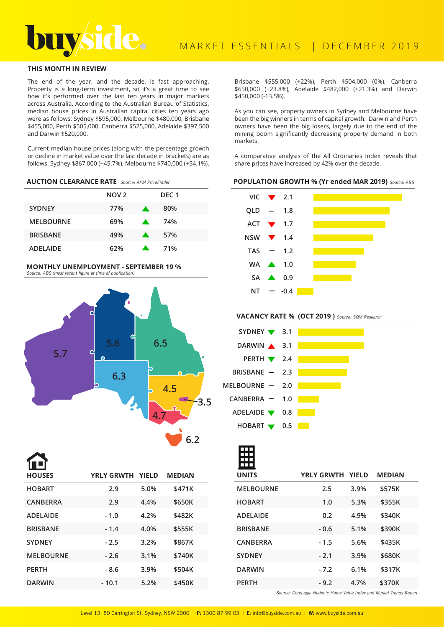# **THIS MONTH IN REVIEW**

The end of the year, and the decade, is fast approaching. Property is a long-term investment, so it's a great time to see how it's performed over the last ten years in major markets across Australia. According to the Australian Bureau of Statistics, median house prices in Australian capital cities ten years ago were as follows: Sydney \$595,000, Melbourne \$480,000, Brisbane \$455,000, Perth \$505,000, Canberra \$525,000, Adelaide \$397,500 and Darwin \$520,000.

Current median house prices (along with the percentage growth or decline in market value over the last decade in brackets) are as follows: Sydney \$867,000 (+45.7%), Melbourne \$740,000 (+54.1%),

### **AUCTION CLEARANCE RATE** Source: APM PriceFinder

|                  | NOV <sub>2</sub> |                  | DEC <sub>1</sub> |
|------------------|------------------|------------------|------------------|
| <b>SYDNEY</b>    | 77%              | <b>A</b>         | 80%              |
| <b>MELBOURNE</b> | 69%              | $\mathbf{A}$     | 74%              |
| <b>BRISBANE</b>  | 49%              | $\blacktriangle$ | 57%              |
| <b>ADELAIDE</b>  | 62%              |                  | 71%              |

#### **MONTHLY UNEMPLOYMENT - SEPTEMBER 19 %**  Source: ABS (most recent figure at time of publication)



| IЦ               |                         |      |               |  |
|------------------|-------------------------|------|---------------|--|
| <b>HOUSES</b>    | <b>YRLY GRWTH YIELD</b> |      | <b>MEDIAN</b> |  |
| <b>HOBART</b>    | 2.9                     | 5.0% | \$471K        |  |
| <b>CANBERRA</b>  | 2.9                     | 4.4% | \$650K        |  |
| <b>ADELAIDE</b>  | $-1.0$                  | 4.2% | \$482K        |  |
| <b>BRISBANE</b>  | $-1.4$                  | 4.0% | \$555K        |  |
| <b>SYDNEY</b>    | $-2.5$                  | 3.2% | \$867K        |  |
| <b>MELBOURNE</b> | $-2.6$                  | 3.1% | \$740K        |  |
| <b>PERTH</b>     | $-8.6$                  | 3.9% | \$504K        |  |
| <b>DARWIN</b>    | $-10.1$                 | 5.2% | \$450K        |  |
|                  |                         |      |               |  |

Brisbane \$555,000 (+22%), Perth \$504,000 (0%), Canberra \$650,000 (+23.8%), Adelaide \$482,000 (+21.3%) and Darwin \$450,000 (-13.5%).

As you can see, property owners in Sydney and Melbourne have been the big winners in terms of capital growth. Darwin and Perth owners have been the big losers, largely due to the end of the mining boom significantly decreasing property demand in both markets.

A comparative analysis of the All Ordinaries Index reveals that share prices have increased by 42% over the decade.

## **POPULATION GROWTH % (Yr ended MAR 2019)** Source: ABS



VACANCY RATE % (OCT 2019) Source: SQM Research



|        |      | <b>MEDIAN</b>    |
|--------|------|------------------|
| 2.5    | 3.9% | \$575K           |
| 1.0    | 5.3% | \$355K           |
| 0.2    | 4.9% | \$340K           |
| $-0.6$ | 5.1% | \$390K           |
| $-1.5$ | 5.6% | \$435K           |
| $-2.1$ | 3.9% | \$680K           |
| $-7.2$ | 6.1% | \$317K           |
| $-9.2$ | 4.7% | \$370K           |
|        |      | YRLY GRWTH YIELD |

Source: CoreLogic Hedonic Home Value Index and Market Trends Report